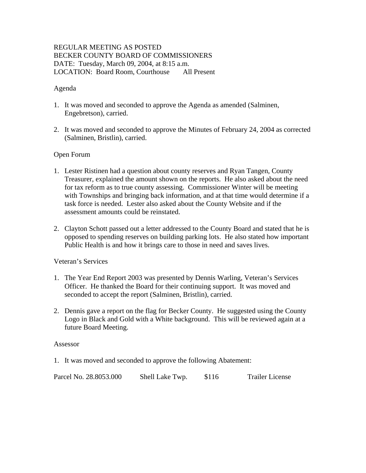# REGULAR MEETING AS POSTED BECKER COUNTY BOARD OF COMMISSIONERS DATE: Tuesday, March 09, 2004, at 8:15 a.m. LOCATION: Board Room, Courthouse All Present

### Agenda

- 1. It was moved and seconded to approve the Agenda as amended (Salminen, Engebretson), carried.
- 2. It was moved and seconded to approve the Minutes of February 24, 2004 as corrected (Salminen, Bristlin), carried.

### Open Forum

- 1. Lester Ristinen had a question about county reserves and Ryan Tangen, County Treasurer, explained the amount shown on the reports. He also asked about the need for tax reform as to true county assessing. Commissioner Winter will be meeting with Townships and bringing back information, and at that time would determine if a task force is needed. Lester also asked about the County Website and if the assessment amounts could be reinstated.
- 2. Clayton Schott passed out a letter addressed to the County Board and stated that he is opposed to spending reserves on building parking lots. He also stated how important Public Health is and how it brings care to those in need and saves lives.

#### Veteran's Services

- 1. The Year End Report 2003 was presented by Dennis Warling, Veteran's Services Officer. He thanked the Board for their continuing support. It was moved and seconded to accept the report (Salminen, Bristlin), carried.
- 2. Dennis gave a report on the flag for Becker County. He suggested using the County Logo in Black and Gold with a White background. This will be reviewed again at a future Board Meeting.

#### Assessor

1. It was moved and seconded to approve the following Abatement:

| Parcel No. 28.8053.000 | Shell Lake Twp. | \$116<br><b>Trailer License</b> |
|------------------------|-----------------|---------------------------------|
|------------------------|-----------------|---------------------------------|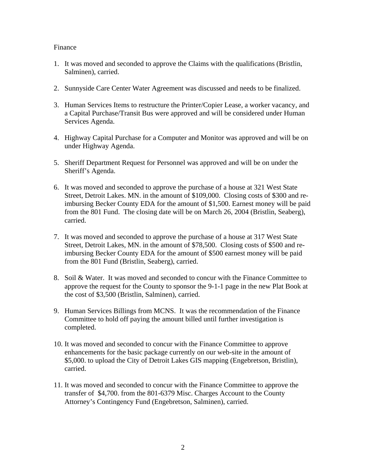### Finance

- 1. It was moved and seconded to approve the Claims with the qualifications (Bristlin, Salminen), carried.
- 2. Sunnyside Care Center Water Agreement was discussed and needs to be finalized.
- 3. Human Services Items to restructure the Printer/Copier Lease, a worker vacancy, and a Capital Purchase/Transit Bus were approved and will be considered under Human Services Agenda.
- 4. Highway Capital Purchase for a Computer and Monitor was approved and will be on under Highway Agenda.
- 5. Sheriff Department Request for Personnel was approved and will be on under the Sheriff's Agenda.
- 6. It was moved and seconded to approve the purchase of a house at 321 West State Street, Detroit Lakes. MN. in the amount of \$109,000. Closing costs of \$300 and reimbursing Becker County EDA for the amount of \$1,500. Earnest money will be paid from the 801 Fund. The closing date will be on March 26, 2004 (Bristlin, Seaberg), carried.
- 7. It was moved and seconded to approve the purchase of a house at 317 West State Street, Detroit Lakes, MN. in the amount of \$78,500. Closing costs of \$500 and reimbursing Becker County EDA for the amount of \$500 earnest money will be paid from the 801 Fund (Bristlin, Seaberg), carried.
- 8. Soil & Water. It was moved and seconded to concur with the Finance Committee to approve the request for the County to sponsor the 9-1-1 page in the new Plat Book at the cost of \$3,500 (Bristlin, Salminen), carried.
- 9. Human Services Billings from MCNS. It was the recommendation of the Finance Committee to hold off paying the amount billed until further investigation is completed.
- 10. It was moved and seconded to concur with the Finance Committee to approve enhancements for the basic package currently on our web-site in the amount of \$5,000. to upload the City of Detroit Lakes GIS mapping (Engebretson, Bristlin), carried.
- 11. It was moved and seconded to concur with the Finance Committee to approve the transfer of \$4,700. from the 801-6379 Misc. Charges Account to the County Attorney's Contingency Fund (Engebretson, Salminen), carried.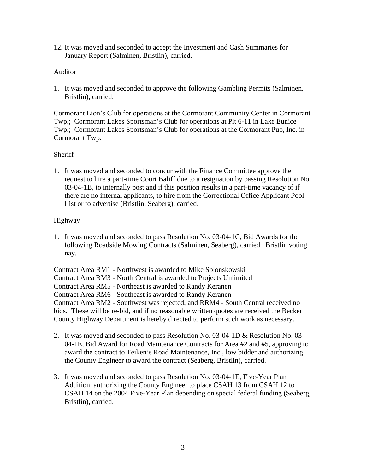12. It was moved and seconded to accept the Investment and Cash Summaries for January Report (Salminen, Bristlin), carried.

## Auditor

1. It was moved and seconded to approve the following Gambling Permits (Salminen, Bristlin), carried.

Cormorant Lion's Club for operations at the Cormorant Community Center in Cormorant Twp.; Cormorant Lakes Sportsman's Club for operations at Pit 6-11 in Lake Eunice Twp.; Cormorant Lakes Sportsman's Club for operations at the Cormorant Pub, Inc. in Cormorant Twp.

### **Sheriff**

1. It was moved and seconded to concur with the Finance Committee approve the request to hire a part-time Court Baliff due to a resignation by passing Resolution No. 03-04-1B, to internally post and if this position results in a part-time vacancy of if there are no internal applicants, to hire from the Correctional Office Applicant Pool List or to advertise (Bristlin, Seaberg), carried.

### Highway

1. It was moved and seconded to pass Resolution No. 03-04-1C, Bid Awards for the following Roadside Mowing Contracts (Salminen, Seaberg), carried. Bristlin voting nay.

Contract Area RM1 - Northwest is awarded to Mike Splonskowski Contract Area RM3 - North Central is awarded to Projects Unlimited Contract Area RM5 - Northeast is awarded to Randy Keranen Contract Area RM6 - Southeast is awarded to Randy Keranen Contract Area RM2 - Southwest was rejected, and RRM4 - South Central received no bids. These will be re-bid, and if no reasonable written quotes are received the Becker County Highway Department is hereby directed to perform such work as necessary.

- 2. It was moved and seconded to pass Resolution No. 03-04-1D & Resolution No. 03- 04-1E, Bid Award for Road Maintenance Contracts for Area #2 and #5, approving to award the contract to Teiken's Road Maintenance, Inc., low bidder and authorizing the County Engineer to award the contract (Seaberg, Bristlin), carried.
- 3. It was moved and seconded to pass Resolution No. 03-04-1E, Five-Year Plan Addition, authorizing the County Engineer to place CSAH 13 from CSAH 12 to CSAH 14 on the 2004 Five-Year Plan depending on special federal funding (Seaberg, Bristlin), carried.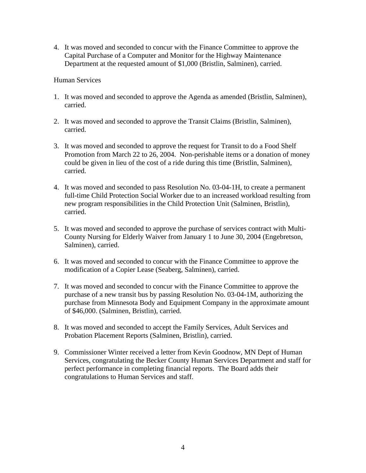4. It was moved and seconded to concur with the Finance Committee to approve the Capital Purchase of a Computer and Monitor for the Highway Maintenance Department at the requested amount of \$1,000 (Bristlin, Salminen), carried.

### Human Services

- 1. It was moved and seconded to approve the Agenda as amended (Bristlin, Salminen), carried.
- 2. It was moved and seconded to approve the Transit Claims (Bristlin, Salminen), carried.
- 3. It was moved and seconded to approve the request for Transit to do a Food Shelf Promotion from March 22 to 26, 2004. Non-perishable items or a donation of money could be given in lieu of the cost of a ride during this time (Bristlin, Salminen), carried.
- 4. It was moved and seconded to pass Resolution No. 03-04-1H, to create a permanent full-time Child Protection Social Worker due to an increased workload resulting from new program responsibilities in the Child Protection Unit (Salminen, Bristlin), carried.
- 5. It was moved and seconded to approve the purchase of services contract with Multi-County Nursing for Elderly Waiver from January 1 to June 30, 2004 (Engebretson, Salminen), carried.
- 6. It was moved and seconded to concur with the Finance Committee to approve the modification of a Copier Lease (Seaberg, Salminen), carried.
- 7. It was moved and seconded to concur with the Finance Committee to approve the purchase of a new transit bus by passing Resolution No. 03-04-1M, authorizing the purchase from Minnesota Body and Equipment Company in the approximate amount of \$46,000. (Salminen, Bristlin), carried.
- 8. It was moved and seconded to accept the Family Services, Adult Services and Probation Placement Reports (Salminen, Bristlin), carried.
- 9. Commissioner Winter received a letter from Kevin Goodnow, MN Dept of Human Services, congratulating the Becker County Human Services Department and staff for perfect performance in completing financial reports. The Board adds their congratulations to Human Services and staff.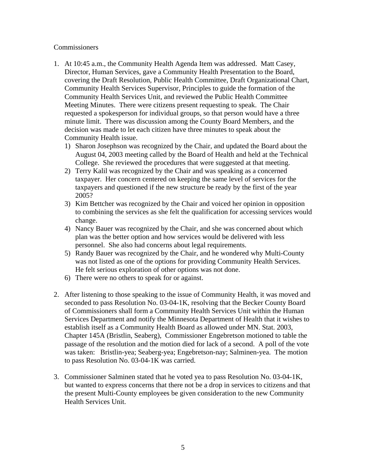### **Commissioners**

- 1. At 10:45 a.m., the Community Health Agenda Item was addressed. Matt Casey, Director, Human Services, gave a Community Health Presentation to the Board, covering the Draft Resolution, Public Health Committee, Draft Organizational Chart, Community Health Services Supervisor, Principles to guide the formation of the Community Health Services Unit, and reviewed the Public Health Committee Meeting Minutes. There were citizens present requesting to speak. The Chair requested a spokesperson for individual groups, so that person would have a three minute limit. There was discussion among the County Board Members, and the decision was made to let each citizen have three minutes to speak about the Community Health issue.
	- 1) Sharon Josephson was recognized by the Chair, and updated the Board about the August 04, 2003 meeting called by the Board of Health and held at the Technical College. She reviewed the procedures that were suggested at that meeting.
	- 2) Terry Kalil was recognized by the Chair and was speaking as a concerned taxpayer. Her concern centered on keeping the same level of services for the taxpayers and questioned if the new structure be ready by the first of the year 2005?
	- 3) Kim Bettcher was recognized by the Chair and voiced her opinion in opposition to combining the services as she felt the qualification for accessing services would change.
	- 4) Nancy Bauer was recognized by the Chair, and she was concerned about which plan was the better option and how services would be delivered with less personnel. She also had concerns about legal requirements.
	- 5) Randy Bauer was recognized by the Chair, and he wondered why Multi-County was not listed as one of the options for providing Community Health Services. He felt serious exploration of other options was not done.
	- 6) There were no others to speak for or against.
- 2. After listening to those speaking to the issue of Community Health, it was moved and seconded to pass Resolution No. 03-04-1K, resolving that the Becker County Board of Commissioners shall form a Community Health Services Unit within the Human Services Department and notify the Minnesota Department of Health that it wishes to establish itself as a Community Health Board as allowed under MN. Stat. 2003, Chapter 145A (Bristlin, Seaberg), Commissioner Engebretson motioned to table the passage of the resolution and the motion died for lack of a second. A poll of the vote was taken: Bristlin-yea; Seaberg-yea; Engebretson-nay; Salminen-yea. The motion to pass Resolution No. 03-04-1K was carried.
- 3. Commissioner Salminen stated that he voted yea to pass Resolution No. 03-04-1K, but wanted to express concerns that there not be a drop in services to citizens and that the present Multi-County employees be given consideration to the new Community Health Services Unit.